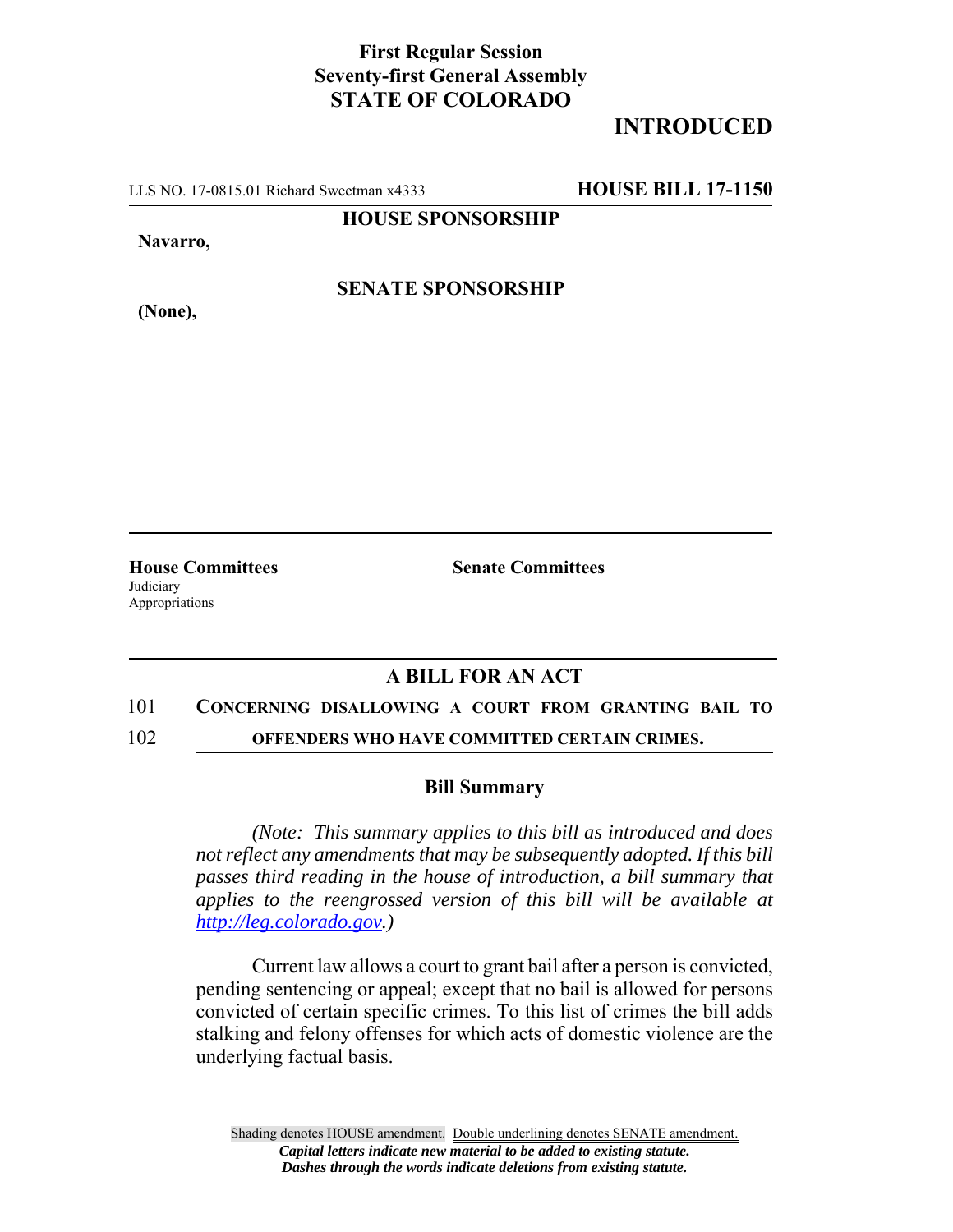## **First Regular Session Seventy-first General Assembly STATE OF COLORADO**

# **INTRODUCED**

LLS NO. 17-0815.01 Richard Sweetman x4333 **HOUSE BILL 17-1150**

**HOUSE SPONSORSHIP**

**Navarro,**

**(None),**

**SENATE SPONSORSHIP**

**Judiciary** Appropriations

**House Committees Senate Committees** 

## **A BILL FOR AN ACT**

#### 101 **CONCERNING DISALLOWING A COURT FROM GRANTING BAIL TO**

102 **OFFENDERS WHO HAVE COMMITTED CERTAIN CRIMES.**

### **Bill Summary**

*(Note: This summary applies to this bill as introduced and does not reflect any amendments that may be subsequently adopted. If this bill passes third reading in the house of introduction, a bill summary that applies to the reengrossed version of this bill will be available at http://leg.colorado.gov.)*

Current law allows a court to grant bail after a person is convicted, pending sentencing or appeal; except that no bail is allowed for persons convicted of certain specific crimes. To this list of crimes the bill adds stalking and felony offenses for which acts of domestic violence are the underlying factual basis.

Shading denotes HOUSE amendment. Double underlining denotes SENATE amendment. *Capital letters indicate new material to be added to existing statute. Dashes through the words indicate deletions from existing statute.*